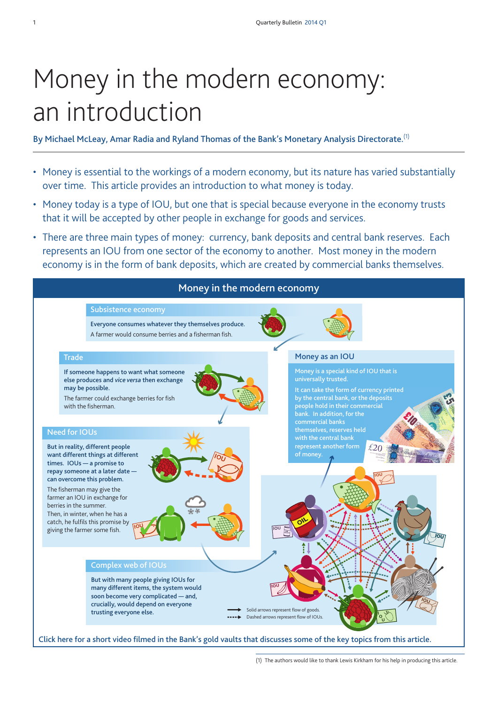# Money in the modern economy: an introduction

**By Michael McLeay, Amar Radia and Ryland Thomas of the Bank's Monetary Analysis Directorate.**(1)

- Money is essential to the workings of a modern economy, but its nature has varied substantially over time. This article provides an introduction to what money is today.
- Money today is a type of IOU, but one that is special because everyone in the economy trusts that it will be accepted by other people in exchange for goods and services.
- There are three main types of money: currency, bank deposits and central bank reserves. Each represents an IOU from one sector of the economy to another. Most money in the modern economy is in the form of bank deposits, which are created by commercial banks themselves.



(1) The authors would like to thank Lewis Kirkham for his help in producing this article.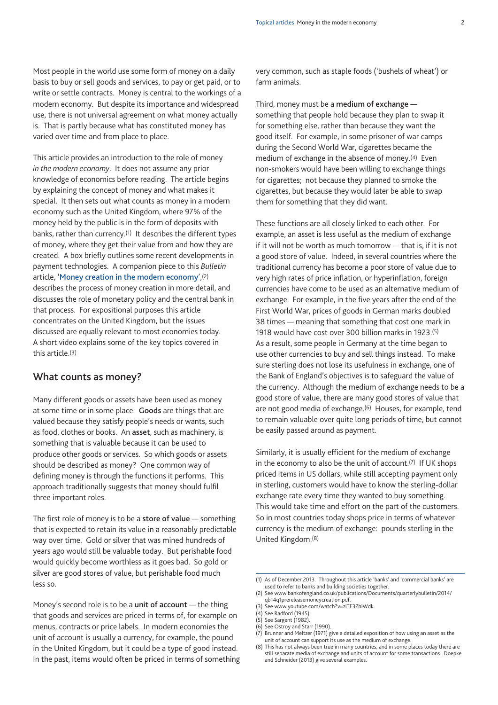Most people in the world use some form of money on a daily basis to buy or sell goods and services, to pay or get paid, or to write or settle contracts. Money is central to the workings of a modern economy. But despite its importance and widespread use, there is not universal agreement on what money actually is. That is partly because what has constituted money has varied over time and from place to place.

This article provides an introduction to the role of money *in the modern economy*. It does not assume any prior knowledge of economics before reading. The article begins by explaining the concept of money and what makes it special. It then sets out what counts as money in a modern economy such as the United Kingdom, where 97% of the money held by the public is in the form of deposits with banks, rather than currency.(1) It describes the different types of money, where they get their value from and how they are created. A box briefly outlines some recent developments in payment technologies. A companion piece to this *Bulletin* article, '**[Money creation in the modern economy](www.bankofengland.co.uk/publications/Documents/quarterlybulletin/2014/qb14q1prereleasemoneycreation.pdf)**',(2) describes the process of money creation in more detail, and discusses the role of monetary policy and the central bank in that process. For expositional purposes this article concentrates on the United Kingdom, but the issues discussed are equally relevant to most economies today. A short video explains some of the key topics covered in this article.(3)

## **What counts as money?**

Many different goods or assets have been used as money at some time or in some place. **Goods** are things that are valued because they satisfy people's needs or wants, such as food, clothes or books. An **asset**, such as machinery, is something that is valuable because it can be used to produce other goods or services. So which goods or assets should be described as money? One common way of defining money is through the functions it performs. This approach traditionally suggests that money should fulfil three important roles.

The first role of money is to be a **store of value** — something that is expected to retain its value in a reasonably predictable way over time. Gold or silver that was mined hundreds of years ago would still be valuable today. But perishable food would quickly become worthless as it goes bad. So gold or silver are good stores of value, but perishable food much less so.

Money's second role is to be a **unit of account** — the thing that goods and services are priced in terms of, for example on menus, contracts or price labels. In modern economies the unit of account is usually a currency, for example, the pound in the United Kingdom, but it could be a type of good instead. In the past, items would often be priced in terms of something very common, such as staple foods ('bushels of wheat') or farm animals.

Third, money must be a **medium of exchange** something that people hold because they plan to swap it for something else, rather than because they want the good itself. For example, in some prisoner of war camps during the Second World War, cigarettes became the medium of exchange in the absence of money.(4) Even non-smokers would have been willing to exchange things for cigarettes; not because they planned to smoke the cigarettes, but because they would later be able to swap them for something that they did want.

These functions are all closely linked to each other. For example, an asset is less useful as the medium of exchange if it will not be worth as much tomorrow — that is, if it is not a good store of value. Indeed, in several countries where the traditional currency has become a poor store of value due to very high rates of price inflation, or hyperinflation, foreign currencies have come to be used as an alternative medium of exchange. For example, in the five years after the end of the First World War, prices of goods in German marks doubled 38 times — meaning that something that cost one mark in 1918 would have cost over 300 billion marks in 1923.(5) As a result, some people in Germany at the time began to use other currencies to buy and sell things instead. To make sure sterling does not lose its usefulness in exchange, one of the Bank of England's objectives is to safeguard the value of the currency. Although the medium of exchange needs to be a good store of value, there are many good stores of value that are not good media of exchange.(6) Houses, for example, tend to remain valuable over quite long periods of time, but cannot be easily passed around as payment.

Similarly, it is usually efficient for the medium of exchange in the economy to also be the unit of account.(7) If UK shops priced items in US dollars, while still accepting payment only in sterling, customers would have to know the sterling-dollar exchange rate every time they wanted to buy something. This would take time and effort on the part of the customers. So in most countries today shops price in terms of whatever currency is the medium of exchange: pounds sterling in the United Kingdom.(8)

<sup>(1)</sup> As of December 2013. Throughout this article 'banks' and 'commercial banks' are used to refer to banks and building societies together. (2) [See www.bankofengland.co.uk/publications/Documents/quarterlybulletin/2014/](www.bankofengland.co.uk/publications/Documents/quarterlybulletin/2014/qb14q1prereleasemoneycreation.pdf)

qb14q1prereleasemoneycreation.pdf. (3) See [www.youtube.com/watch?v=ziTE32hiWdk.](www.youtube.com/watch?v=ziTE32hiWdk)

<sup>(4)</sup> See Radford (1945).

<sup>(5)</sup> See Sargent (1982).

<sup>(6)</sup> See Ostroy and Starr (1990).

<sup>(7)</sup> Brunner and Meltzer (1971) give a detailed exposition of how using an asset as the unit of account can support its use as the medium of exchange.

<sup>(8)</sup> This has not always been true in many countries, and in some places today there are still separate media of exchange and units of account for some transactions. Doepke and Schneider (2013) give several examples.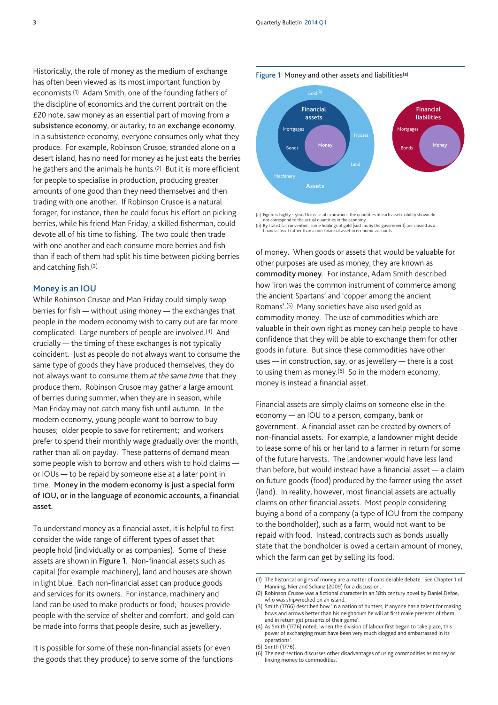Historically, the role of money as the medium of exchange has often been viewed as its most important function by economists.(1) Adam Smith, one of the founding fathers of the discipline of economics and the current portrait on the £20 note, saw money as an essential part of moving from a **subsistence economy**, or autarky, to an **exchange economy**. In a subsistence economy, everyone consumes only what they produce. For example, Robinson Crusoe, stranded alone on a desert island, has no need for money as he just eats the berries he gathers and the animals he hunts.(2) But it is more efficient for people to specialise in production, producing greater amounts of one good than they need themselves and then trading with one another. If Robinson Crusoe is a natural forager, for instance, then he could focus his effort on picking berries, while his friend Man Friday, a skilled fisherman, could devote all of his time to fishing. The two could then trade with one another and each consume more berries and fish than if each of them had split his time between picking berries and catching fish.(3)

#### **Money is an IOU**

While Robinson Crusoe and Man Friday could simply swap berries for fish — without using money — the exchanges that people in the modern economy wish to carry out are far more complicated. Large numbers of people are involved.(4) And crucially — the timing of these exchanges is not typically coincident. Just as people do not always want to consume the same type of goods they have produced themselves, they do not always want to consume them *at the same time* that they produce them. Robinson Crusoe may gather a large amount of berries during summer, when they are in season, while Man Friday may not catch many fish until autumn. In the modern economy, young people want to borrow to buy houses; older people to save for retirement; and workers prefer to spend their monthly wage gradually over the month, rather than all on payday. These patterns of demand mean some people wish to borrow and others wish to hold claims or IOUs — to be repaid by someone else at a later point in time. **Money in the modern economy is just a special form of IOU, or in the language of economic accounts, a financial asset.**

To understand money as a financial asset, it is helpful to first consider the wide range of different types of asset that people hold (individually or as companies). Some of these assets are shown in **Figure 1**. Non-financial assets such as capital (for example machinery), land and houses are shown in light blue. Each non-financial asset can produce goods and services for its owners. For instance, machinery and land can be used to make products or food; houses provide people with the service of shelter and comfort; and gold can be made into forms that people desire, such as jewellery.

It is possible for some of these non-financial assets (or even the goods that they produce) to serve some of the functions **Figure 1** Money and other assets and liabilities(a)



(a) Figure is highly stylised for ease of exposition: the quantities of each asset/liability shown do not correspond to the actual quantities in the econ

(b) By statistical convention, some holdings of gold (such as by the government) are classed as a financial asset rather than a non-financial asset in economic accounts.

of money. When goods or assets that would be valuable for other purposes are used as money, they are known as **commodity money**. For instance, Adam Smith described how 'iron was the common instrument of commerce among the ancient Spartans' and 'copper among the ancient Romans'.(5) Many societies have also used gold as commodity money. The use of commodities which are valuable in their own right as money can help people to have confidence that they will be able to exchange them for other goods in future. But since these commodities have other uses — in construction, say, or as jewellery — there is a cost to using them as money.(6) So in the modern economy, money is instead a financial asset.

Financial assets are simply claims on someone else in the economy — an IOU to a person, company, bank or government. A financial asset can be created by owners of non-financial assets. For example, a landowner might decide to lease some of his or her land to a farmer in return for some of the future harvests. The landowner would have less land than before, but would instead have a financial asset — a claim on future goods (food) produced by the farmer using the asset (land). In reality, however, most financial assets are actually claims on other financial assets. Most people considering buying a bond of a company (a type of IOU from the company to the bondholder), such as a farm, would not want to be repaid with food. Instead, contracts such as bonds usually state that the bondholder is owed a certain amount of money, which the farm can get by selling its food.

<sup>(1)</sup> The historical origins of money are a matter of considerable debate. See Chapter 1 of Manning, Nier and Schanz (2009) for a discussion.

<sup>(2)</sup> Robinson Crusoe was a fictional character in an 18th century novel by Daniel Defoe, who was shipwrecked on an island.

<sup>(3)</sup> Smith (1766) described how 'in a nation of hunters, if anyone has a talent for making bows and arrows better than his neighbours he will at first make presents of them, and in return get presents of their game'.

<sup>(4)</sup> As Smith (1776) noted, 'when the division of labour first began to take place, this power of exchanging must have been very much clogged and embarrassed in its operations'.

Smith (1776).

<sup>(6)</sup> The next section discusses other disadvantages of using commodities as money or linking money to commodities.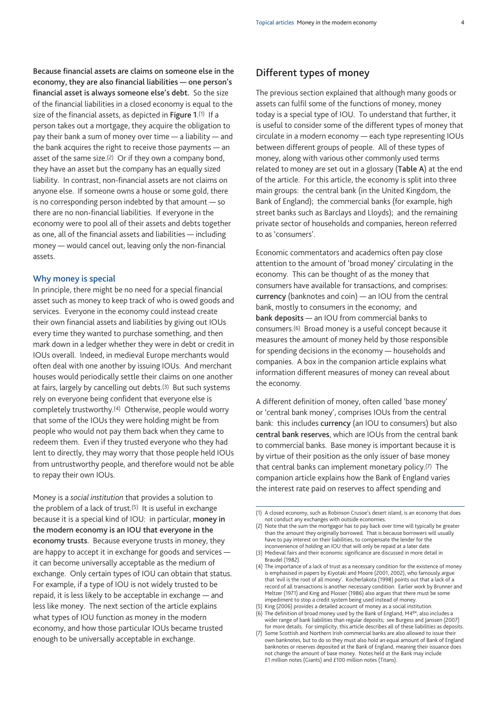**Because financial assets are claims on someone else in the economy, they are also financial liabilities — one person's financial asset is always someone else's debt.** So the size of the financial liabilities in a closed economy is equal to the size of the financial assets, as depicted in **Figure 1**.(1) If a person takes out a mortgage, they acquire the obligation to pay their bank a sum of money over time — a liability — and the bank acquires the right to receive those payments — an asset of the same size.(2) Or if they own a company bond, they have an asset but the company has an equally sized liability. In contrast, non-financial assets are not claims on anyone else. If someone owns a house or some gold, there is no corresponding person indebted by that amount — so there are no non-financial liabilities. If everyone in the economy were to pool all of their assets and debts together as one, all of the financial assets and liabilities — including money — would cancel out, leaving only the non-financial assets.

## **Why money is special**

In principle, there might be no need for a special financial asset such as money to keep track of who is owed goods and services. Everyone in the economy could instead create their own financial assets and liabilities by giving out IOUs every time they wanted to purchase something, and then mark down in a ledger whether they were in debt or credit in IOUs overall. Indeed, in medieval Europe merchants would often deal with one another by issuing IOUs. And merchant houses would periodically settle their claims on one another at fairs, largely by cancelling out debts.(3) But such systems rely on everyone being confident that everyone else is completely trustworthy.(4) Otherwise, people would worry that some of the IOUs they were holding might be from people who would not pay them back when they came to redeem them. Even if they trusted everyone who they had lent to directly, they may worry that those people held IOUs from untrustworthy people, and therefore would not be able to repay their own IOUs.

Money is a *social institution* that provides a solution to the problem of a lack of trust. $(5)$  It is useful in exchange because it is a special kind of IOU: in particular, **money in the modern economy is an IOU that everyone in the economy trusts**. Because everyone trusts in money, they are happy to accept it in exchange for goods and services it can become universally acceptable as the medium of exchange. Only certain types of IOU can obtain that status. For example, if a type of IOU is not widely trusted to be repaid, it is less likely to be acceptable in exchange — and less like money. The next section of the article explains what types of IOU function as money in the modern economy, and how those particular IOUs became trusted enough to be universally acceptable in exchange.

# **Different types of money**

The previous section explained that although many goods or assets can fulfil some of the functions of money, money today is a special type of IOU. To understand that further, it is useful to consider some of the different types of money that circulate in a modern economy — each type representing IOUs between different groups of people. All of these types of money, along with various other commonly used terms related to money are set out in a glossary (**Table A**) at the end of the article. For this article, the economy is split into three main groups: the central bank (in the United Kingdom, the Bank of England); the commercial banks (for example, high street banks such as Barclays and Lloyds); and the remaining private sector of households and companies, hereon referred to as 'consumers'.

Economic commentators and academics often pay close attention to the amount of 'broad money' circulating in the economy. This can be thought of as the money that consumers have available for transactions, and comprises: **currency** (banknotes and coin) — an IOU from the central bank, mostly to consumers in the economy; and **bank deposits** — an IOU from commercial banks to consumers.(6) Broad money is a useful concept because it measures the amount of money held by those responsible for spending decisions in the economy — households and companies. A box in the companion article explains what information different measures of money can reveal about the economy.

A different definition of money, often called 'base money' or 'central bank money', comprises IOUs from the central bank: this includes **currency** (an IOU to consumers) but also **central bank reserves**, which are IOUs from the central bank to commercial banks. Base money is important because it is by virtue of their position as the only issuer of base money that central banks can implement monetary policy.(7) The companion article explains how the Bank of England varies the interest rate paid on reserves to affect spending and

<sup>(1)</sup> A closed economy, such as Robinson Crusoe's desert island, is an economy that does not conduct any exchanges with outside economies.

<sup>(2)</sup> Note that the sum the mortgagor has to pay back over time will typically be greater than the amount they originally borrowed. That is because borrowers will usually have to pay interest on their liabilities, to compensate the lender for the inconvenience of holding an IOU that will only be repaid at a later date.

<sup>(3)</sup> Medieval fairs and their economic significance are discussed in more detail in Braudel (1982).

<sup>(4)</sup> The importance of a lack of trust as a necessary condition for the existence of money is emphasised in papers by Kiyotaki and Moore (2001, 2002), who famously argue that 'evil is the root of all money'. Kocherlakota (1998) points out that a lack of a record of all transactions is another necessary condition. Earlier work by Brunner and Meltzer (1971) and King and Plosser (1986) also argues that there must be some impediment to stop a credit system being used instead of money.

King (2006) provides a detailed account of money as a social institution. (6) The definition of broad money used by the Bank of England, M4ex, also includes a wider range of bank liabilities than regular deposits; see Burgess and Janssen (2007) for more details. For simplicity, this article describes all of these liabilities as deposits.

<sup>(7)</sup> Some Scottish and Northern Irish commercial banks are also allowed to issue their own banknotes, but to do so they must also hold an equal amount of Bank of England banknotes or reserves deposited at the Bank of England, meaning their issuance does not change the amount of base money. Notes held at the Bank may include £1 million notes (Giants) and £100 million notes (Titans).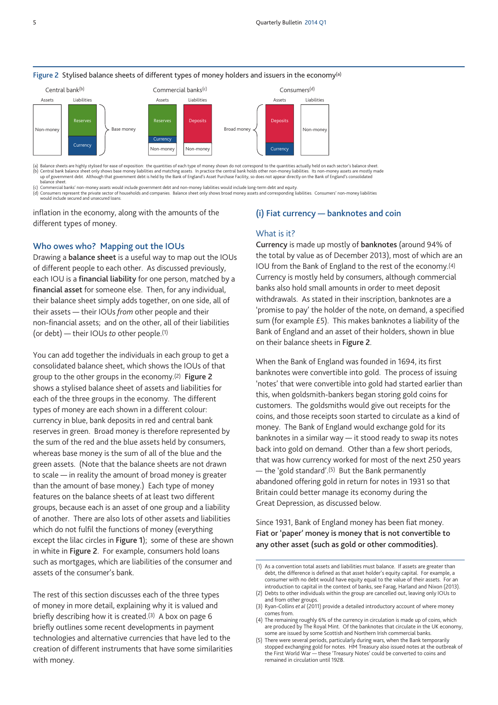

#### **Figure 2** Stylised balance sheets of different types of money holders and issuers in the economy(a)

(a) Balance sheets are highly stylised for ease of exposition: the quantities of each type of money shown do not correspond to the quantities actually held on each sector's balance sheet.<br>(b) Central bank balance sheet onl balance sheet.

(c) Commercial banks' non-money assets would include government debt and non-money liabilities would include long-term debt and equity.

(d) Consumers represent the private sector of households and companies. Balance sheet only shows broad money assets and corresponding liabilities. Consumers' non-money liabilities (consumers' non-money liabilities)

would include secured and unsecured loans.

inflation in the economy, along with the amounts of the different types of money.

#### **Who owes who? Mapping out the IOUs**

Drawing a **balance sheet** is a useful way to map out the IOUs of different people to each other. As discussed previously, each IOU is a **financial liability** for one person, matched by a **financial asset** for someone else. Then, for any individual, their balance sheet simply adds together, on one side, all of their assets — their IOUs *from* other people and their non-financial assets; and on the other, all of their liabilities (or debt) — their IOUs *to* other people.(1)

You can add together the individuals in each group to get a consolidated balance sheet, which shows the IOUs of that group to the other groups in the economy.(2) **Figure 2** shows a stylised balance sheet of assets and liabilities for each of the three groups in the economy. The different types of money are each shown in a different colour: currency in blue, bank deposits in red and central bank reserves in green. Broad money is therefore represented by the sum of the red and the blue assets held by consumers, whereas base money is the sum of all of the blue and the green assets. (Note that the balance sheets are not drawn to scale — in reality the amount of broad money is greater than the amount of base money.) Each type of money features on the balance sheets of at least two different groups, because each is an asset of one group and a liability of another. There are also lots of other assets and liabilities which do not fulfil the functions of money (everything except the lilac circles in **Figure 1**); some of these are shown in white in **Figure 2**. For example, consumers hold loans such as mortgages, which are liabilities of the consumer and assets of the consumer's bank.

The rest of this section discusses each of the three types of money in more detail, explaining why it is valued and briefly describing how it is created.<sup>(3)</sup> A box on page 6 briefly outlines some recent developments in payment technologies and alternative currencies that have led to the creation of different instruments that have some similarities with money.

#### **(i) Fiat currency — banknotes and coin**

# What is it?

**Currency** is made up mostly of **banknotes** (around 94% of the total by value as of December 2013), most of which are an IOU from the Bank of England to the rest of the economy.(4) Currency is mostly held by consumers, although commercial banks also hold small amounts in order to meet deposit withdrawals. As stated in their inscription, banknotes are a 'promise to pay' the holder of the note, on demand, a specified sum (for example £5). This makes banknotes a liability of the Bank of England and an asset of their holders, shown in blue on their balance sheets in **Figure 2**.

When the Bank of England was founded in 1694, its first banknotes were convertible into gold. The process of issuing 'notes' that were convertible into gold had started earlier than this, when goldsmith-bankers began storing gold coins for customers. The goldsmiths would give out receipts for the coins, and those receipts soon started to circulate as a kind of money. The Bank of England would exchange gold for its banknotes in a similar way — it stood ready to swap its notes back into gold on demand. Other than a few short periods, that was how currency worked for most of the next 250 years — the 'gold standard'.<sup>(5)</sup> But the Bank permanently abandoned offering gold in return for notes in 1931 so that Britain could better manage its economy during the Great Depression, as discussed below.

Since 1931, Bank of England money has been fiat money. **Fiat or 'paper' money is money that is not convertible to any other asset (such as gold or other commodities).**

<sup>(1)</sup> As a convention total assets and liabilities must balance. If assets are greater than debt, the difference is defined as that asset holder's equity capital. For example, a consumer with no debt would have equity equal to the value of their assets. For an introduction to capital in the context of banks, see Farag, Harland and Nixon (2013).

<sup>(2)</sup> Debts to other individuals within the group are cancelled out, leaving only IOUs to and from other groups.

<sup>(3)</sup> Ryan-Collins *et al* (2011) provide a detailed introductory account of where money comes from.

<sup>(4)</sup> The remaining roughly 6% of the currency in circulation is made up of coins, which are produced by The Royal Mint. Of the banknotes that circulate in the UK economy, some are issued by some Scottish and Northern Irish commercial banks.

<sup>(5)</sup> There were several periods, particularly during wars, when the Bank temporarily stopped exchanging gold for notes. HM Treasury also issued notes at the outbreak of the First World War — these 'Treasury Notes' could be converted to coins and remained in circulation until 1928.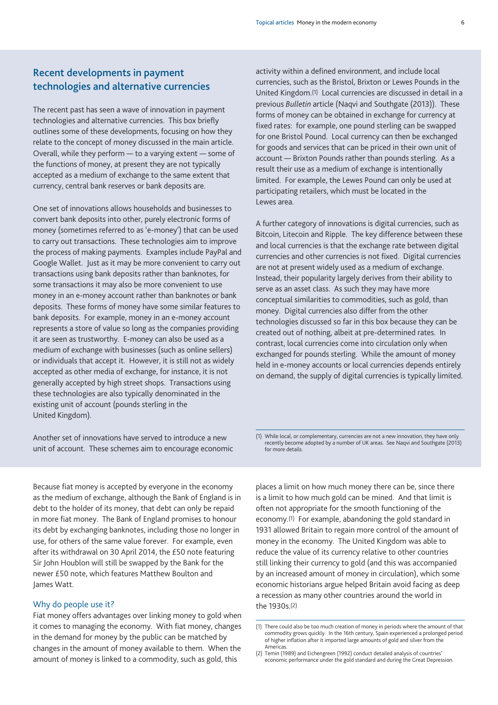# **Recent developments in payment technologies and alternative currencies**

The recent past has seen a wave of innovation in payment technologies and alternative currencies. This box briefly outlines some of these developments, focusing on how they relate to the concept of money discussed in the main article. Overall, while they perform — to a varying extent — some of the functions of money, at present they are not typically accepted as a medium of exchange to the same extent that currency, central bank reserves or bank deposits are.

One set of innovations allows households and businesses to convert bank deposits into other, purely electronic forms of money (sometimes referred to as 'e-money') that can be used to carry out transactions. These technologies aim to improve the process of making payments. Examples include PayPal and Google Wallet. Just as it may be more convenient to carry out transactions using bank deposits rather than banknotes, for some transactions it may also be more convenient to use money in an e-money account rather than banknotes or bank deposits. These forms of money have some similar features to bank deposits. For example, money in an e-money account represents a store of value so long as the companies providing it are seen as trustworthy. E-money can also be used as a medium of exchange with businesses (such as online sellers) or individuals that accept it. However, it is still not as widely accepted as other media of exchange, for instance, it is not generally accepted by high street shops. Transactions using these technologies are also typically denominated in the existing unit of account (pounds sterling in the United Kingdom).

Another set of innovations have served to introduce a new unit of account. These schemes aim to encourage economic activity within a defined environment, and include local currencies, such as the Bristol, Brixton or Lewes Pounds in the United Kingdom.(1) Local currencies are discussed in detail in a previous *Bulletin* article (Naqvi and Southgate (2013)). These forms of money can be obtained in exchange for currency at fixed rates: for example, one pound sterling can be swapped for one Bristol Pound. Local currency can then be exchanged for goods and services that can be priced in their own unit of account — Brixton Pounds rather than pounds sterling. As a result their use as a medium of exchange is intentionally limited. For example, the Lewes Pound can only be used at participating retailers, which must be located in the Lewes area.

A further category of innovations is digital currencies, such as Bitcoin, Litecoin and Ripple. The key difference between these and local currencies is that the exchange rate between digital currencies and other currencies is not fixed. Digital currencies are not at present widely used as a medium of exchange. Instead, their popularity largely derives from their ability to serve as an asset class. As such they may have more conceptual similarities to commodities, such as gold, than money. Digital currencies also differ from the other technologies discussed so far in this box because they can be created out of nothing, albeit at pre-determined rates. In contrast, local currencies come into circulation only when exchanged for pounds sterling. While the amount of money held in e-money accounts or local currencies depends entirely on demand, the supply of digital currencies is typically limited.

(1) While local, or complementary, currencies are not a new innovation, they have only recently become adopted by a number of UK areas. See Naqvi and Southgate (2013) for more details.

Because fiat money is accepted by everyone in the economy as the medium of exchange, although the Bank of England is in debt to the holder of its money, that debt can only be repaid in more fiat money. The Bank of England promises to honour its debt by exchanging banknotes, including those no longer in use, for others of the same value forever. For example, even after its withdrawal on 30 April 2014, the £50 note featuring Sir John Houblon will still be swapped by the Bank for the newer £50 note, which features Matthew Boulton and James Watt.

#### Why do people use it?

Fiat money offers advantages over linking money to gold when it comes to managing the economy. With fiat money, changes in the demand for money by the public can be matched by changes in the amount of money available to them. When the amount of money is linked to a commodity, such as gold, this

places a limit on how much money there can be, since there is a limit to how much gold can be mined. And that limit is often not appropriate for the smooth functioning of the economy.(1) For example, abandoning the gold standard in 1931 allowed Britain to regain more control of the amount of money in the economy. The United Kingdom was able to reduce the value of its currency relative to other countries still linking their currency to gold (and this was accompanied by an increased amount of money in circulation), which some economic historians argue helped Britain avoid facing as deep a recession as many other countries around the world in the 1930s.(2)

<sup>(1)</sup> There could also be too much creation of money in periods where the amount of that commodity grows quickly. In the 16th century, Spain experienced a prolonged period of higher inflation after it imported large amounts of gold and silver from the Americas.

<sup>(2)</sup> Temin (1989) and Eichengreen (1992) conduct detailed analysis of countries' economic performance under the gold standard and during the Great Depression.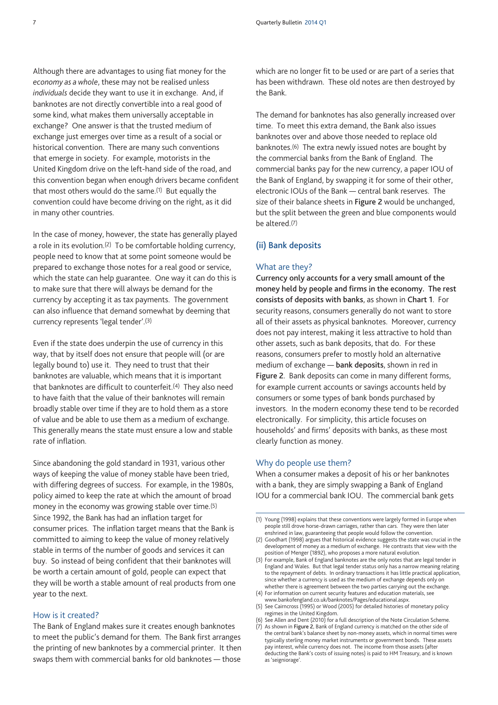Although there are advantages to using fiat money for the *economy as a whole*, these may not be realised unless *individuals* decide they want to use it in exchange. And, if banknotes are not directly convertible into a real good of some kind, what makes them universally acceptable in exchange? One answer is that the trusted medium of exchange just emerges over time as a result of a social or historical convention. There are many such conventions that emerge in society. For example, motorists in the United Kingdom drive on the left-hand side of the road, and this convention began when enough drivers became confident that most others would do the same.<sup>(1)</sup> But equally the convention could have become driving on the right, as it did in many other countries.

In the case of money, however, the state has generally played a role in its evolution.<sup>(2)</sup> To be comfortable holding currency, people need to know that at some point someone would be prepared to exchange those notes for a real good or service, which the state can help guarantee. One way it can do this is to make sure that there will always be demand for the currency by accepting it as tax payments. The government can also influence that demand somewhat by deeming that currency represents 'legal tender'.(3)

Even if the state does underpin the use of currency in this way, that by itself does not ensure that people will (or are legally bound to) use it. They need to trust that their banknotes are valuable, which means that it is important that banknotes are difficult to counterfeit.(4) They also need to have faith that the value of their banknotes will remain broadly stable over time if they are to hold them as a store of value and be able to use them as a medium of exchange. This generally means the state must ensure a low and stable rate of inflation.

Since abandoning the gold standard in 1931, various other ways of keeping the value of money stable have been tried, with differing degrees of success. For example, in the 1980s, policy aimed to keep the rate at which the amount of broad money in the economy was growing stable over time.(5) Since 1992, the Bank has had an inflation target for consumer prices. The inflation target means that the Bank is committed to aiming to keep the value of money relatively stable in terms of the number of goods and services it can buy. So instead of being confident that their banknotes will be worth a certain amount of gold, people can expect that they will be worth a stable amount of real products from one year to the next.

#### How is it created?

The Bank of England makes sure it creates enough banknotes to meet the public's demand for them. The Bank first arranges the printing of new banknotes by a commercial printer. It then swaps them with commercial banks for old banknotes — those

which are no longer fit to be used or are part of a series that has been withdrawn. These old notes are then destroyed by the Bank.

The demand for banknotes has also generally increased over time. To meet this extra demand, the Bank also issues banknotes over and above those needed to replace old banknotes.(6) The extra newly issued notes are bought by the commercial banks from the Bank of England. The commercial banks pay for the new currency, a paper IOU of the Bank of England, by swapping it for some of their other, electronic IOUs of the Bank — central bank reserves. The size of their balance sheets in **Figure 2** would be unchanged, but the split between the green and blue components would be altered.(7)

## **(ii) Bank deposits**

#### What are they?

**Currency only accounts for a very small amount of the money held by people and firms in the economy. The rest consists of deposits with banks**, as shown in **Chart 1**. For security reasons, consumers generally do not want to store all of their assets as physical banknotes. Moreover, currency does not pay interest, making it less attractive to hold than other assets, such as bank deposits, that do. For these reasons, consumers prefer to mostly hold an alternative medium of exchange — **bank deposits**, shown in red in **Figure 2**. Bank deposits can come in many different forms, for example current accounts or savings accounts held by consumers or some types of bank bonds purchased by investors. In the modern economy these tend to be recorded electronically. For simplicity, this article focuses on households' and firms' deposits with banks, as these most clearly function as money.

#### Why do people use them?

When a consumer makes a deposit of his or her banknotes with a bank, they are simply swapping a Bank of England IOU for a commercial bank IOU. The commercial bank gets

- (4) For information on current security features and education materials, see [www.bankofengland.co.uk/banknotes/Pages/educational.aspx.](www.bankofengland.co.uk/banknotes/Pages/educational.aspx)
- (5) See Cairncross (1995) or Wood (2005) for detailed histories of monetary policy regimes in the United Kingdom.
- (6) See Allen and Dent (2010) for a full description of the Note Circulation Scheme. (7) As shown in **Figure 2**, Bank of England currency is matched on the other side of the central bank's balance sheet by non-money assets, which in normal times were typically sterling money market instruments or government bonds. These assets pay interest, while currency does not. The income from those assets (after deducting the Bank's costs of issuing notes) is paid to HM Treasury, and is known as 'seigniorage'.

<sup>(1)</sup> Young (1998) explains that these conventions were largely formed in Europe when people still drove horse-drawn carriages, rather than cars. They were then later enshrined in law, guaranteeing that people would follow the convention.

<sup>(2)</sup> Goodhart (1998) argues that historical evidence suggests the state was crucial in the development of money as a medium of exchange. He contrasts that view with the position of Menger (1892), who proposes a more natural evolution.

<sup>(3)</sup> For example, Bank of England banknotes are the only notes that are legal tender in England and Wales. But that legal tender status only has a narrow meaning relating to the repayment of debts. In ordinary transactions it has little practical application, since whether a currency is used as the medium of exchange depends only on whether there is agreement between the two parties carrying out the exchange.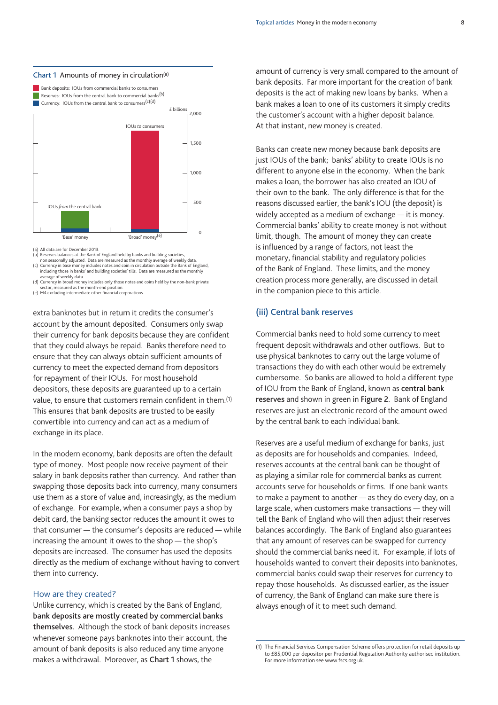#### **Chart 1** Amounts of money in circulation(a)

£ billions **Bank deposits: IOUs from commercial banks to consumers** Reserves: IOUs from the central bank to commercial banks<sup>(b)</sup> Currency: IOUs from the central bank to consumers<sup>(c)(d)</sup>



(a) All data are for December 2013.

(b) Reserves balances at the Bank of England held by banks and building societies,<br>onn seasonally adjusted. Data are measured as the monthly average of weekly data.<br>(c) Currency in base money includes notes and coin in cir including those in banks' and building societies' tills. Data are measured as the monthly of weekly data

(d) Currency in broad money includes only those notes and coins held by the non-bank private sector, measured as the month-end position

(e) M4 excluding intermediate other financial corporations.

extra banknotes but in return it credits the consumer's account by the amount deposited. Consumers only swap their currency for bank deposits because they are confident that they could always be repaid. Banks therefore need to ensure that they can always obtain sufficient amounts of currency to meet the expected demand from depositors for repayment of their IOUs. For most household depositors, these deposits are guaranteed up to a certain value, to ensure that customers remain confident in them.(1) This ensures that bank deposits are trusted to be easily convertible into currency and can act as a medium of exchange in its place.

In the modern economy, bank deposits are often the default type of money. Most people now receive payment of their salary in bank deposits rather than currency. And rather than swapping those deposits back into currency, many consumers use them as a store of value and, increasingly, as the medium of exchange. For example, when a consumer pays a shop by debit card, the banking sector reduces the amount it owes to that consumer — the consumer's deposits are reduced — while increasing the amount it owes to the shop — the shop's deposits are increased. The consumer has used the deposits directly as the medium of exchange without having to convert them into currency.

#### How are they created?

Unlike currency, which is created by the Bank of England, **bank deposits are mostly created by commercial banks themselves**. Although the stock of bank deposits increases whenever someone pays banknotes into their account, the amount of bank deposits is also reduced any time anyone makes a withdrawal. Moreover, as **Chart 1** shows, the

amount of currency is very small compared to the amount of bank deposits. Far more important for the creation of bank deposits is the act of making new loans by banks. When a bank makes a loan to one of its customers it simply credits the customer's account with a higher deposit balance. At that instant, new money is created.

Banks can create new money because bank deposits are just IOUs of the bank; banks' ability to create IOUs is no different to anyone else in the economy. When the bank makes a loan, the borrower has also created an IOU of their own to the bank. The only difference is that for the reasons discussed earlier, the bank's IOU (the deposit) is widely accepted as a medium of exchange — it is money. Commercial banks' ability to create money is not without limit, though. The amount of money they can create is influenced by a range of factors, not least the monetary, financial stability and regulatory policies of the Bank of England. These limits, and the money creation process more generally, are discussed in detail in the companion piece to this article.

# **(iii) Central bank reserves**

Commercial banks need to hold some currency to meet frequent deposit withdrawals and other outflows. But to use physical banknotes to carry out the large volume of transactions they do with each other would be extremely cumbersome. So banks are allowed to hold a different type of IOU from the Bank of England, known as **central bank reserves** and shown in green in **Figure 2**. Bank of England reserves are just an electronic record of the amount owed by the central bank to each individual bank.

Reserves are a useful medium of exchange for banks, just as deposits are for households and companies. Indeed, reserves accounts at the central bank can be thought of as playing a similar role for commercial banks as current accounts serve for households or firms. If one bank wants to make a payment to another — as they do every day, on a large scale, when customers make transactions — they will tell the Bank of England who will then adjust their reserves balances accordingly. The Bank of England also guarantees that any amount of reserves can be swapped for currency should the commercial banks need it. For example, if lots of households wanted to convert their deposits into banknotes, commercial banks could swap their reserves for currency to repay those households. As discussed earlier, as the issuer of currency, the Bank of England can make sure there is always enough of it to meet such demand.

<sup>(1)</sup> The Financial Services Compensation Scheme offers protection for retail deposits up to £85,000 per depositor per Prudential Regulation Authority authorised institution. For more information see www.fscs.org.uk.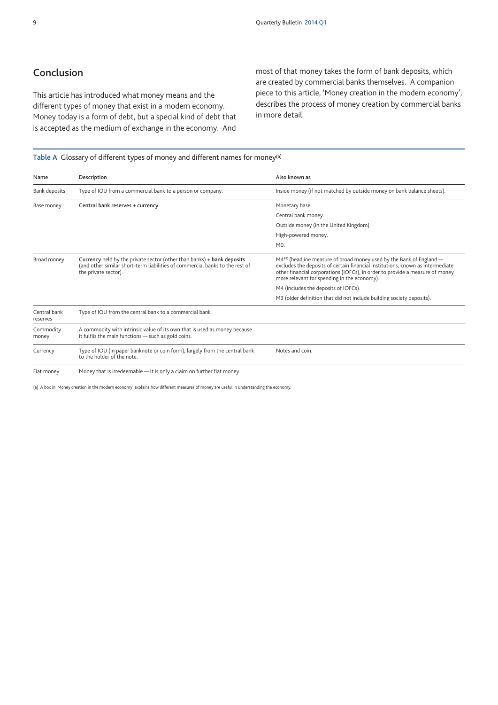# **Conclusion**

This article has introduced what money means and the different types of money that exist in a modern economy. Money today is a form of debt, but a special kind of debt that is accepted as the medium of exchange in the economy. And

most of that money takes the form of bank deposits, which are created by commercial banks themselves. A companion piece to this article, 'Money creation in the modern economy', describes the process of money creation by commercial banks in more detail.

#### **Table A** Glossary of different types of money and different names for money(a)

| Name                     | Description                                                                                                                                                                    | Also known as                                                                                                                                                                                                                                                                                    |
|--------------------------|--------------------------------------------------------------------------------------------------------------------------------------------------------------------------------|--------------------------------------------------------------------------------------------------------------------------------------------------------------------------------------------------------------------------------------------------------------------------------------------------|
| <b>Bank deposits</b>     | Type of IOU from a commercial bank to a person or company.                                                                                                                     | Inside money (if not matched by outside money on bank balance sheets).                                                                                                                                                                                                                           |
| Base money               | Central bank reserves + currency.                                                                                                                                              | Monetary base.                                                                                                                                                                                                                                                                                   |
|                          |                                                                                                                                                                                | Central bank money.                                                                                                                                                                                                                                                                              |
|                          |                                                                                                                                                                                | Outside money (in the United Kingdom).                                                                                                                                                                                                                                                           |
|                          |                                                                                                                                                                                | High-powered money.                                                                                                                                                                                                                                                                              |
|                          |                                                                                                                                                                                | MO.                                                                                                                                                                                                                                                                                              |
| Broad money              | Currency held by the private sector (other than banks) + bank deposits<br>(and other similar short-term liabilities of commercial banks to the rest of<br>the private sector). | M4 <sup>ex</sup> (headline measure of broad money used by the Bank of England -<br>excludes the deposits of certain financial institutions, known as intermediate<br>other financial corporations (IOFCs), in order to provide a measure of money<br>more relevant for spending in the economy). |
|                          |                                                                                                                                                                                | M4 (includes the deposits of IOFCs).                                                                                                                                                                                                                                                             |
|                          |                                                                                                                                                                                | M3 (older definition that did not include building society deposits).                                                                                                                                                                                                                            |
| Central bank<br>reserves | Type of IOU from the central bank to a commercial bank.                                                                                                                        |                                                                                                                                                                                                                                                                                                  |
| Commodity<br>money       | A commodity with intrinsic value of its own that is used as money because<br>it fulfils the main functions – such as gold coins.                                               |                                                                                                                                                                                                                                                                                                  |
| Currency                 | Type of IOU (in paper banknote or coin form), largely from the central bank<br>to the holder of the note.                                                                      | Notes and coin.                                                                                                                                                                                                                                                                                  |
| Fiat money               | Money that is irredeemable - it is only a claim on further fiat money.                                                                                                         |                                                                                                                                                                                                                                                                                                  |

(a) A box in 'Money creation in the modern economy' explains how different measures of money are useful in understanding the economy.